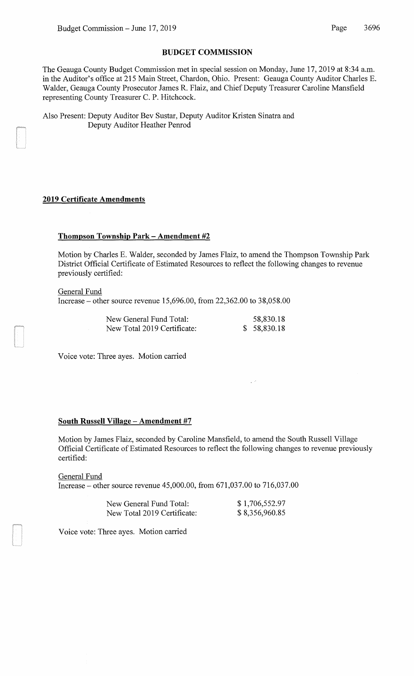## **BUDGET COMMISSION**

The Geauga County Budget Commission met in special session on Monday, June 17, 2019 at 8:34a.m. in the Auditor's office at 215 Main Street, Chardon, Ohio. Present: Geauga County Auditor Charles E. Walder, Geauga County Prosecutor James R. Flaiz, and Chief Deputy Treasurer Caroline Mansfield representing County Treasurer C. P. Hitchcock.

Also Present: Deputy Auditor Bev Sustar, Deputy Auditor Kristen Sinatra and Deputy Auditor Heather Penrod

## **2019 Certificate Amendments**

## **Thompson Township Park- Amendment #2**

Motion by Charles E. Walder, seconded by James Flaiz, to amend the Thompson Township Park District Official Certificate of Estimated Resources to reflect the following changes to revenue previously certified:

General Fund Increase- other source revenue 15,696.00, from 22,362.00 to 38,058.00

| New General Fund Total:     | 58,830.18   |
|-----------------------------|-------------|
| New Total 2019 Certificate: | \$58,830.18 |

Voice vote: Three ayes. Motion carried

# **South Russell Village - Amendment #7**

Motion by James Flaiz, seconded by Caroline Mansfield, to amend the South Russell Village Official Certificate of Estimated Resources to reflect the following changes to revenue previously certified:

General Fund Increase- other source revenue 45,000.00, from 671,037.00 to 716,037.00

| New General Fund Total:     | \$1,706,552.97 |
|-----------------------------|----------------|
| New Total 2019 Certificate: | \$8,356,960.85 |

Voice vote: Three ayes. Motion carried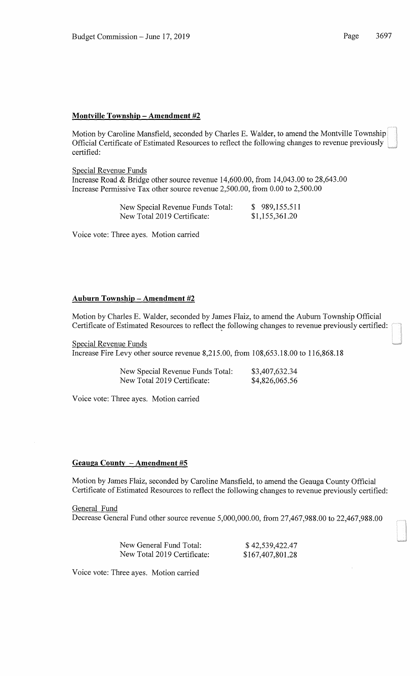### **Montville Township- Amendment #2**

Motion by Caroline Mansfield, seconded by Charles E. Walder, to amend the Montville Township Official Certificate of Estimated Resources to reflect the following changes to revenue previously certified:

#### Special Revenue Funds

Increase Road & Bridge other source revenue 14,600.00, from 14,043.00 to 28,643.00 Increase Permissive Tax other source revenue 2,500.00, from 0.00 to 2,500.00

| New Special Revenue Funds Total: | \$989,155.511  |
|----------------------------------|----------------|
| New Total 2019 Certificate:      | \$1,155,361.20 |

Voice vote: Three ayes. Motion carried

# **Auburn Township -Amendment #2**

Motion by Charles E. Walder, seconded by James Flaiz, to amend the Auburn Township Official Certificate of Estimated Resources to reflect the following changes to revenue previously certified:

Special Revenue Funds

Increase Fire Levy other source revenue 8,215.00, from 108,653.18.00 to 116,868.18

| New Special Revenue Funds Total: | \$3,407,632.34 |
|----------------------------------|----------------|
| New Total 2019 Certificate:      | \$4,826,065.56 |

Voice vote: Three ayes. Motion carried

### **Geauga County -Amendment #5**

Motion by James Flaiz, seconded by Caroline Mansfield, to amend the Geauga County Official Certificate of Estimated Resources to reflect the following changes to revenue previously certified:

General Fund Decrease General Fund other source revenue 5,000,000.00, from 27,467,988.00 to 22,467,988.00

| New General Fund Total:     | \$42,539,422.47  |
|-----------------------------|------------------|
| New Total 2019 Certificate: | \$167,407,801.28 |

Voice vote: Three ayes. Motion carried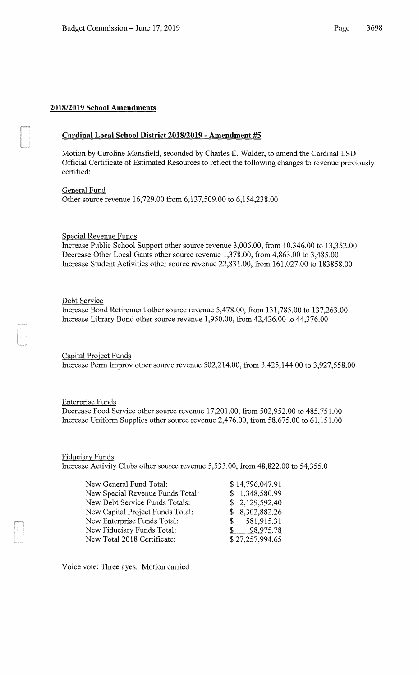# **2018/2019 School Amendments**

# **Cardinal Local School District 2018/2019 - Amendment #5**

Motion by Caroline Mansfield, seconded by Charles E. Walder, to amend the Cardinal LSD Official Certificate of Estimated Resources to reflect the following changes to revenue previously certified:

General Fund Other source revenue 16,729.00 from 6,137,509.00 to 6,154,238.00

Special Revenue Funds

Increase Public School Support other source revenue 3,006.00, from 10,346.00 to 13,352.00 Decrease Other Local Gants other source revenue 1,378.00, from 4,863.00 to 3,485.00 Increase Student Activities other source revenue 22,831.00, from 161,027.00 to 183858.00

Debt Service

Increase Bond Retirement other source revenue 5,478.00, from 131,785.00 to 137,263.00 Increase Library Bond other source revenue 1,950.00, from 42,426.00 to 44,376.00

Capital Project Funds Increase Perm Improv other source revenue 502,214.00, from 3,425,144.00 to 3,927,558.00

#### Enterprise Funds

Decrease Food Service other source revenue 17,201.00, from 502,952.00 to 485,751.00 Increase Uniform Supplies other source revenue 2,476.00, from 58.675.00 to 61,151.00

# Fiduciary Funds

Increase Activity Clubs other source revenue 5,533.00, from 48,822.00 to 54,355.0

| New General Fund Total:          |    | \$14,796,047.91 |
|----------------------------------|----|-----------------|
| New Special Revenue Funds Total: |    | \$1,348,580.99  |
| New Debt Service Funds Totals:   |    | \$2,129,592.40  |
| New Capital Project Funds Total: |    | \$8,302,882.26  |
| New Enterprise Funds Total:      | S. | 581,915.31      |
| New Fiduciary Funds Total:       | S. | 98,975.78       |
| New Total 2018 Certificate:      |    | \$27,257,994.65 |

Voice vote: Three ayes. Motion carried